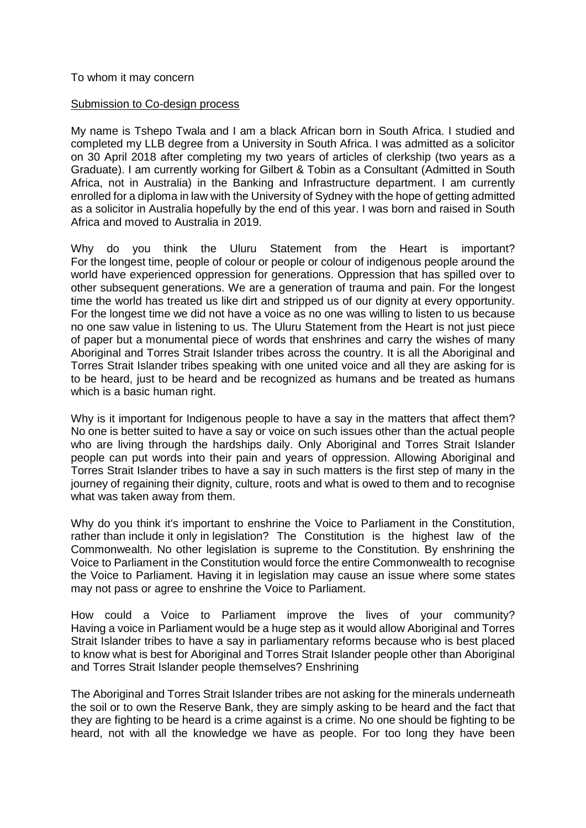## To whom it may concern

## Submission to Co-design process

My name is Tshepo Twala and I am a black African born in South Africa. I studied and completed my LLB degree from a University in South Africa. I was admitted as a solicitor on 30 April 2018 after completing my two years of articles of clerkship (two years as a Graduate). I am currently working for Gilbert & Tobin as a Consultant (Admitted in South Africa, not in Australia) in the Banking and Infrastructure department. I am currently enrolled for a diploma in law with the University of Sydney with the hope of getting admitted as a solicitor in Australia hopefully by the end of this year. I was born and raised in South Africa and moved to Australia in 2019.

Why do you think the Uluru Statement from the Heart is important? For the longest time, people of colour or people or colour of indigenous people around the world have experienced oppression for generations. Oppression that has spilled over to other subsequent generations. We are a generation of trauma and pain. For the longest time the world has treated us like dirt and stripped us of our dignity at every opportunity. For the longest time we did not have a voice as no one was willing to listen to us because no one saw value in listening to us. The Uluru Statement from the Heart is not just piece of paper but a monumental piece of words that enshrines and carry the wishes of many Aboriginal and Torres Strait Islander tribes across the country. It is all the Aboriginal and Torres Strait Islander tribes speaking with one united voice and all they are asking for is to be heard, just to be heard and be recognized as humans and be treated as humans which is a basic human right.

Why is it important for Indigenous people to have a say in the matters that affect them? No one is better suited to have a say or voice on such issues other than the actual people who are living through the hardships daily. Only Aboriginal and Torres Strait Islander people can put words into their pain and years of oppression. Allowing Aboriginal and Torres Strait Islander tribes to have a say in such matters is the first step of many in the journey of regaining their dignity, culture, roots and what is owed to them and to recognise what was taken away from them.

Why do you think it's important to enshrine the Voice to Parliament in the Constitution, rather than include it only in legislation? The Constitution is the highest law of the Commonwealth. No other legislation is supreme to the Constitution. By enshrining the Voice to Parliament in the Constitution would force the entire Commonwealth to recognise the Voice to Parliament. Having it in legislation may cause an issue where some states may not pass or agree to enshrine the Voice to Parliament.

How could a Voice to Parliament improve the lives of your community? Having a voice in Parliament would be a huge step as it would allow Aboriginal and Torres Strait Islander tribes to have a say in parliamentary reforms because who is best placed to know what is best for Aboriginal and Torres Strait Islander people other than Aboriginal and Torres Strait Islander people themselves? Enshrining

The Aboriginal and Torres Strait Islander tribes are not asking for the minerals underneath the soil or to own the Reserve Bank, they are simply asking to be heard and the fact that they are fighting to be heard is a crime against is a crime. No one should be fighting to be heard, not with all the knowledge we have as people. For too long they have been